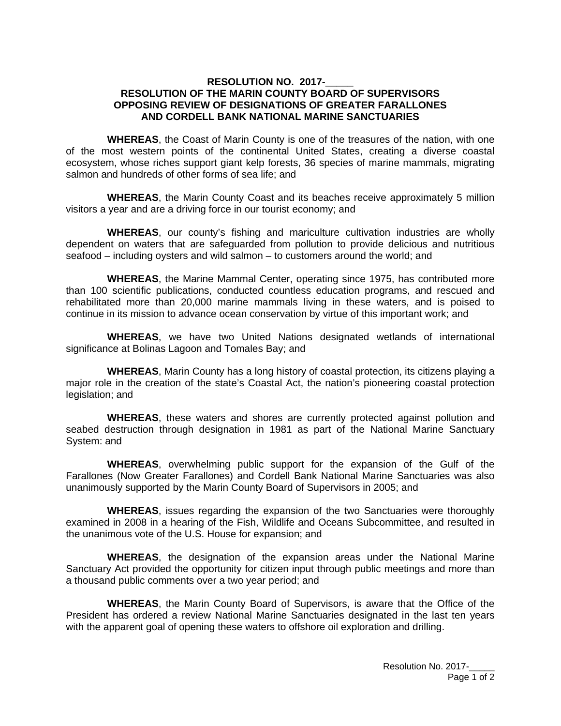## **RESOLUTION NO. 2017-RESOLUTION OF THE MARIN COUNTY BOARD OF SUPERVISORS OPPOSING REVIEW OF DESIGNATIONS OF GREATER FARALLONES AND CORDELL BANK NATIONAL MARINE SANCTUARIES**

**WHEREAS**, the Coast of Marin County is one of the treasures of the nation, with one of the most western points of the continental United States, creating a diverse coastal ecosystem, whose riches support giant kelp forests, 36 species of marine mammals, migrating salmon and hundreds of other forms of sea life; and

**WHEREAS**, the Marin County Coast and its beaches receive approximately 5 million visitors a year and are a driving force in our tourist economy; and

**WHEREAS**, our county's fishing and mariculture cultivation industries are wholly dependent on waters that are safeguarded from pollution to provide delicious and nutritious seafood – including oysters and wild salmon – to customers around the world; and

**WHEREAS**, the Marine Mammal Center, operating since 1975, has contributed more than 100 scientific publications, conducted countless education programs, and rescued and rehabilitated more than 20,000 marine mammals living in these waters, and is poised to continue in its mission to advance ocean conservation by virtue of this important work; and

**WHEREAS**, we have two United Nations designated wetlands of international significance at Bolinas Lagoon and Tomales Bay; and

**WHEREAS**, Marin County has a long history of coastal protection, its citizens playing a major role in the creation of the state's Coastal Act, the nation's pioneering coastal protection legislation; and

**WHEREAS**, these waters and shores are currently protected against pollution and seabed destruction through designation in 1981 as part of the National Marine Sanctuary System: and

**WHEREAS**, overwhelming public support for the expansion of the Gulf of the Farallones (Now Greater Farallones) and Cordell Bank National Marine Sanctuaries was also unanimously supported by the Marin County Board of Supervisors in 2005; and

**WHEREAS**, issues regarding the expansion of the two Sanctuaries were thoroughly examined in 2008 in a hearing of the Fish, Wildlife and Oceans Subcommittee, and resulted in the unanimous vote of the U.S. House for expansion; and

**WHEREAS**, the designation of the expansion areas under the National Marine Sanctuary Act provided the opportunity for citizen input through public meetings and more than a thousand public comments over a two year period; and

**WHEREAS**, the Marin County Board of Supervisors, is aware that the Office of the President has ordered a review National Marine Sanctuaries designated in the last ten years with the apparent goal of opening these waters to offshore oil exploration and drilling.